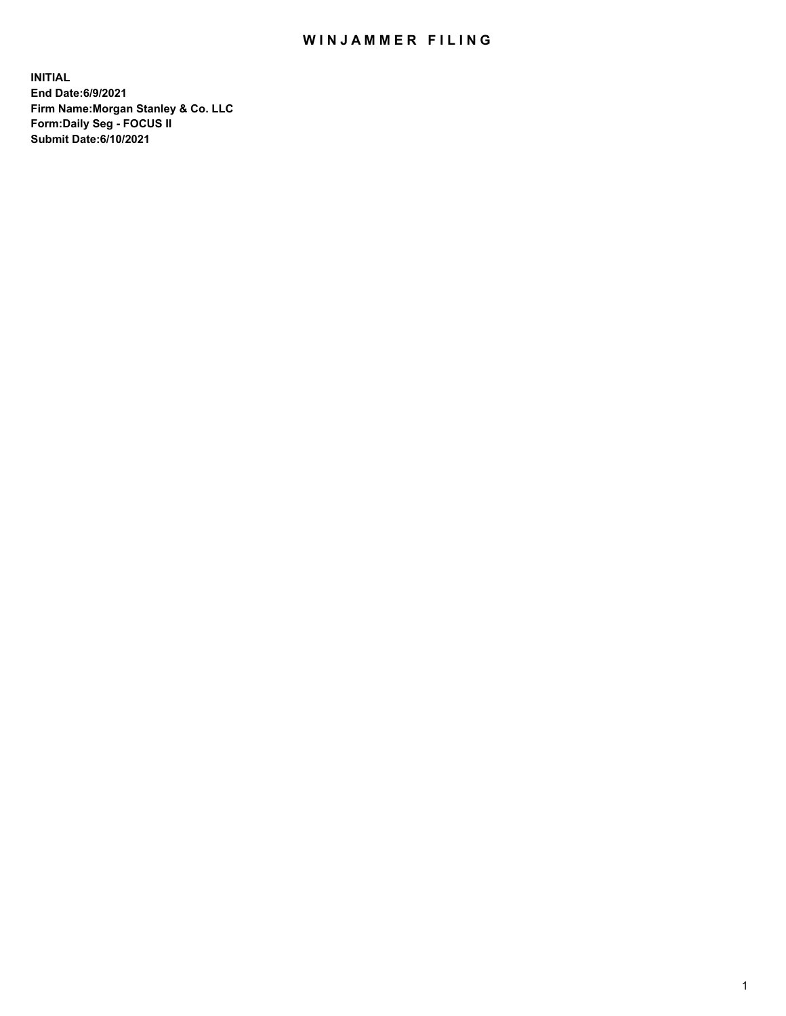## WIN JAMMER FILING

**INITIAL End Date:6/9/2021 Firm Name:Morgan Stanley & Co. LLC Form:Daily Seg - FOCUS II Submit Date:6/10/2021**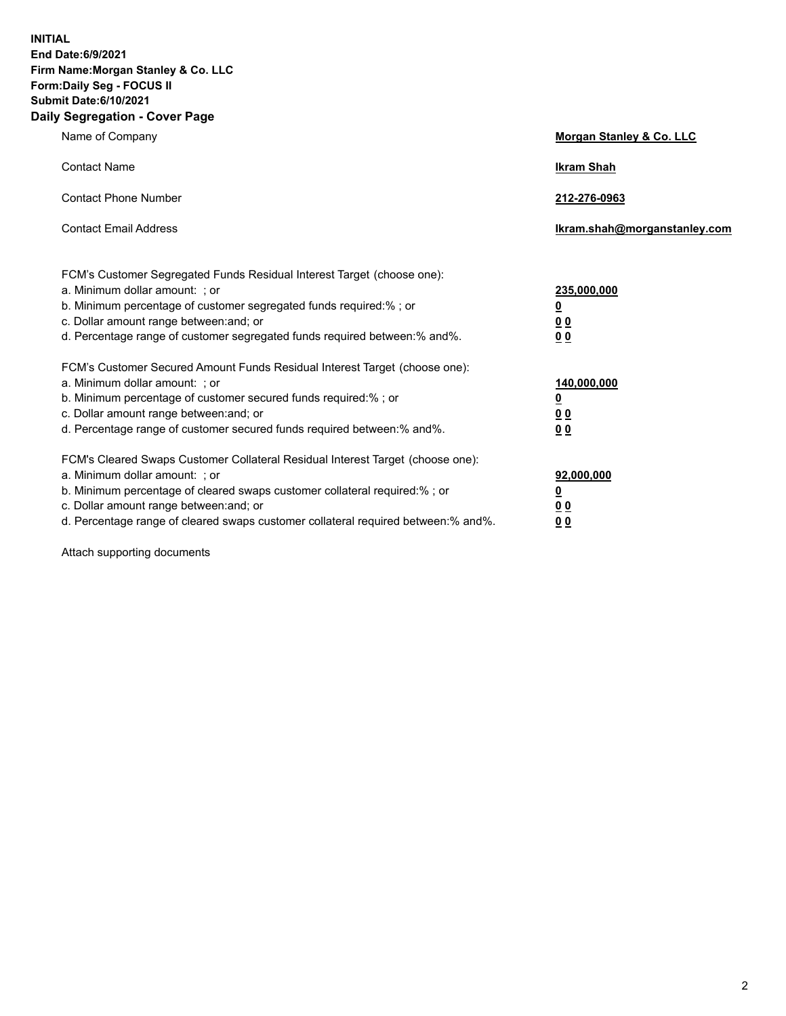**INITIAL End Date:6/9/2021 Firm Name:Morgan Stanley & Co. LLC Form:Daily Seg - FOCUS II Submit Date:6/10/2021 Daily Segregation - Cover Page**

| Name of Company                                                                                                                                                                                                                                                                                                               | <b>Morgan Stanley &amp; Co. LLC</b>                   |
|-------------------------------------------------------------------------------------------------------------------------------------------------------------------------------------------------------------------------------------------------------------------------------------------------------------------------------|-------------------------------------------------------|
| <b>Contact Name</b>                                                                                                                                                                                                                                                                                                           | <b>Ikram Shah</b>                                     |
| <b>Contact Phone Number</b>                                                                                                                                                                                                                                                                                                   | 212-276-0963                                          |
| <b>Contact Email Address</b>                                                                                                                                                                                                                                                                                                  | lkram.shah@morganstanley.com                          |
| FCM's Customer Segregated Funds Residual Interest Target (choose one):<br>a. Minimum dollar amount: ; or<br>b. Minimum percentage of customer segregated funds required:% ; or<br>c. Dollar amount range between: and; or<br>d. Percentage range of customer segregated funds required between:% and%.                        | 235,000,000<br><u>0</u><br><u>00</u><br><u>00</u>     |
| FCM's Customer Secured Amount Funds Residual Interest Target (choose one):<br>a. Minimum dollar amount: ; or<br>b. Minimum percentage of customer secured funds required: % ; or<br>c. Dollar amount range between: and; or<br>d. Percentage range of customer secured funds required between:% and%.                         | 140,000,000<br><u>0</u><br>00<br>0 <sub>0</sub>       |
| FCM's Cleared Swaps Customer Collateral Residual Interest Target (choose one):<br>a. Minimum dollar amount: ; or<br>b. Minimum percentage of cleared swaps customer collateral required:%; or<br>c. Dollar amount range between: and; or<br>d. Percentage range of cleared swaps customer collateral required between:% and%. | 92,000,000<br><u>0</u><br><u>00</u><br>0 <sup>0</sup> |

Attach supporting documents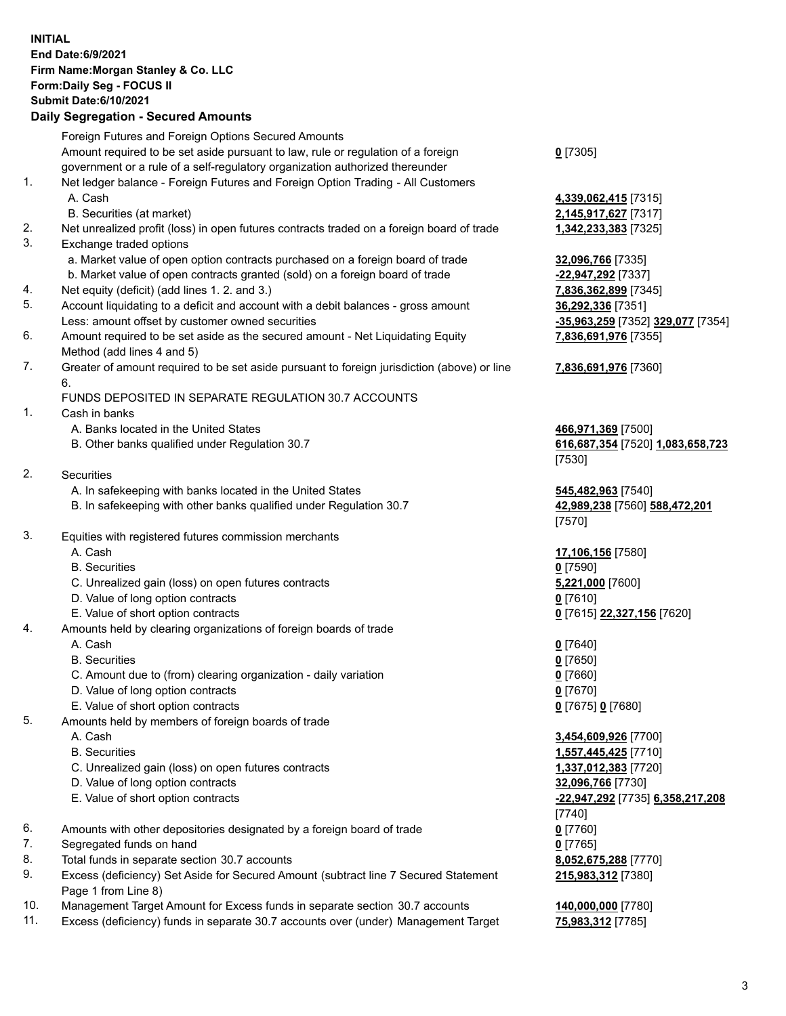## **INITIAL End Date:6/9/2021 Firm Name:Morgan Stanley & Co. LLC Form:Daily Seg - FOCUS II Submit Date:6/10/2021 Daily Segregation - Secured Amounts**

Foreign Futures and Foreign Options Secured Amounts Amount required to be set aside pursuant to law, rule or regulation of a foreign government or a rule of a self-regulatory organization authorized thereunder 1. Net ledger balance - Foreign Futures and Foreign Option Trading - All Customers A. Cash **4,339,062,415** [7315] B. Securities (at market) **2,145,917,627** [7317] 2. Net unrealized profit (loss) in open futures contracts traded on a foreign board of trade **1,342,233,383** [7325] 3. Exchange traded options a. Market value of open option contracts purchased on a foreign board of trade **32,096,766** [7335] b. Market value of open contracts granted (sold) on a foreign board of trade **-22,947,292** [7337] 4. Net equity (deficit) (add lines 1. 2. and 3.) **7,836,362,899** [7345] 5. Account liquidating to a deficit and account with a debit balances - gross amount **36,292,336** [7351] Less: amount offset by customer owned securities **-35,963,259** [7352] **329,077** [7354] 6. Amount required to be set aside as the secured amount - Net Liquidating Equity Method (add lines 4 and 5) 7. Greater of amount required to be set aside pursuant to foreign jurisdiction (above) or line 6. FUNDS DEPOSITED IN SEPARATE REGULATION 30.7 ACCOUNTS 1. Cash in banks A. Banks located in the United States **466,971,369** [7500] B. Other banks qualified under Regulation 30.7 **616,687,354** [7520] **1,083,658,723** 2. Securities A. In safekeeping with banks located in the United States **545,482,963** [7540] B. In safekeeping with other banks qualified under Regulation 30.7 **42,989,238** [7560] **588,472,201** 3. Equities with registered futures commission merchants A. Cash **17,106,156** [7580] B. Securities **0** [7590] C. Unrealized gain (loss) on open futures contracts **5,221,000** [7600] D. Value of long option contracts **0** [7610] E. Value of short option contracts **0** [7615] **22,327,156** [7620] 4. Amounts held by clearing organizations of foreign boards of trade A. Cash **0** [7640] B. Securities **0** [7650] C. Amount due to (from) clearing organization - daily variation **0** [7660] D. Value of long option contracts **0** [7670] E. Value of short option contracts **0** [7675] **0** [7680] 5. Amounts held by members of foreign boards of trade A. Cash **3,454,609,926** [7700] B. Securities **1,557,445,425** [7710]

- C. Unrealized gain (loss) on open futures contracts **1,337,012,383** [7720]
- D. Value of long option contracts **32,096,766** [7730]
- E. Value of short option contracts **-22,947,292** [7735] **6,358,217,208**
- 6. Amounts with other depositories designated by a foreign board of trade **0** [7760]
- 7. Segregated funds on hand **0** [7765]
- 8. Total funds in separate section 30.7 accounts **8,052,675,288** [7770]
- 9. Excess (deficiency) Set Aside for Secured Amount (subtract line 7 Secured Statement Page 1 from Line 8)
- 10. Management Target Amount for Excess funds in separate section 30.7 accounts **140,000,000** [7780]
- 11. Excess (deficiency) funds in separate 30.7 accounts over (under) Management Target **75,983,312** [7785]

**0** [7305]

**7,836,691,976** [7355]

## **7,836,691,976** [7360]

[7530]

[7570]

[7740] **215,983,312** [7380]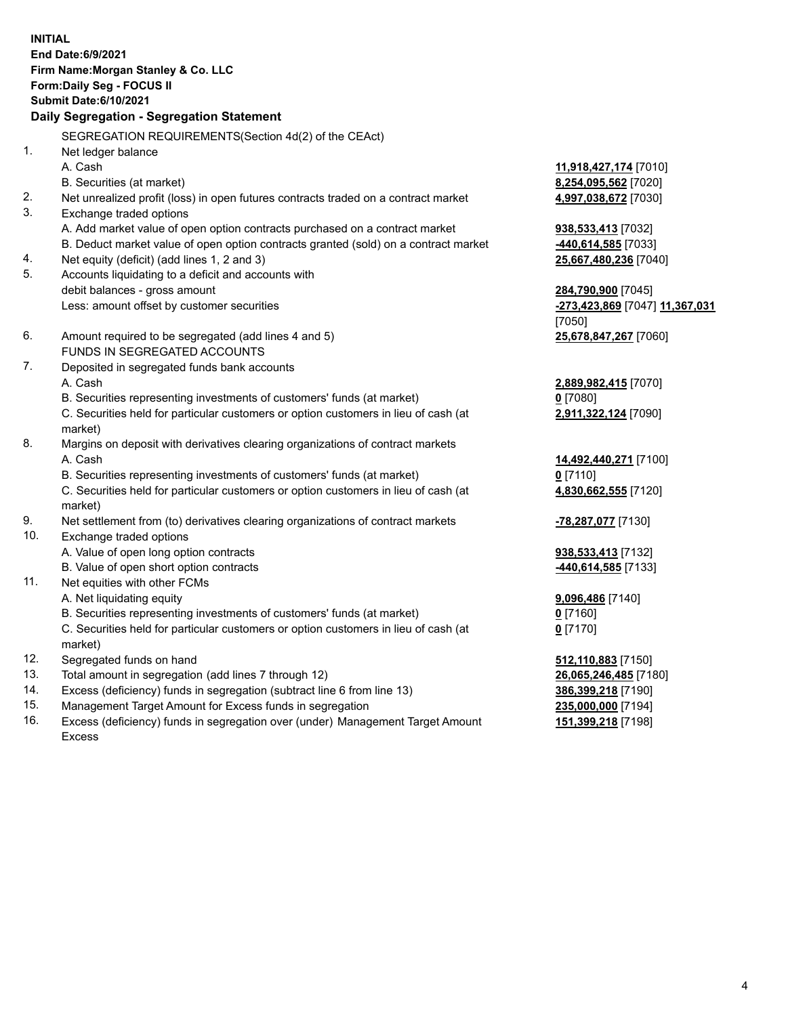**INITIAL End Date:6/9/2021 Firm Name:Morgan Stanley & Co. LLC Form:Daily Seg - FOCUS II Submit Date:6/10/2021 Daily Segregation - Segregation Statement** SEGREGATION REQUIREMENTS(Section 4d(2) of the CEAct) 1. Net ledger balance A. Cash **11,918,427,174** [7010] B. Securities (at market) **8,254,095,562** [7020] 2. Net unrealized profit (loss) in open futures contracts traded on a contract market **4,997,038,672** [7030] 3. Exchange traded options A. Add market value of open option contracts purchased on a contract market **938,533,413** [7032] B. Deduct market value of open option contracts granted (sold) on a contract market **-440,614,585** [7033] 4. Net equity (deficit) (add lines 1, 2 and 3) **25,667,480,236** [7040] 5. Accounts liquidating to a deficit and accounts with debit balances - gross amount **284,790,900** [7045] Less: amount offset by customer securities **-273,423,869** [7047] **11,367,031** [7050] 6. Amount required to be segregated (add lines 4 and 5) **25,678,847,267** [7060] FUNDS IN SEGREGATED ACCOUNTS 7. Deposited in segregated funds bank accounts A. Cash **2,889,982,415** [7070] B. Securities representing investments of customers' funds (at market) **0** [7080] C. Securities held for particular customers or option customers in lieu of cash (at market) **2,911,322,124** [7090] 8. Margins on deposit with derivatives clearing organizations of contract markets A. Cash **14,492,440,271** [7100] B. Securities representing investments of customers' funds (at market) **0** [7110] C. Securities held for particular customers or option customers in lieu of cash (at market) **4,830,662,555** [7120] 9. Net settlement from (to) derivatives clearing organizations of contract markets **-78,287,077** [7130] 10. Exchange traded options A. Value of open long option contracts **938,533,413** [7132] B. Value of open short option contracts **-440,614,585** [7133] 11. Net equities with other FCMs A. Net liquidating equity **9,096,486** [7140] B. Securities representing investments of customers' funds (at market) **0** [7160] C. Securities held for particular customers or option customers in lieu of cash (at market) **0** [7170] 12. Segregated funds on hand **512,110,883** [7150] 13. Total amount in segregation (add lines 7 through 12) **26,065,246,485** [7180] 14. Excess (deficiency) funds in segregation (subtract line 6 from line 13) **386,399,218** [7190]

- 15. Management Target Amount for Excess funds in segregation **235,000,000** [7194]
- 16. Excess (deficiency) funds in segregation over (under) Management Target Amount Excess

**151,399,218** [7198]